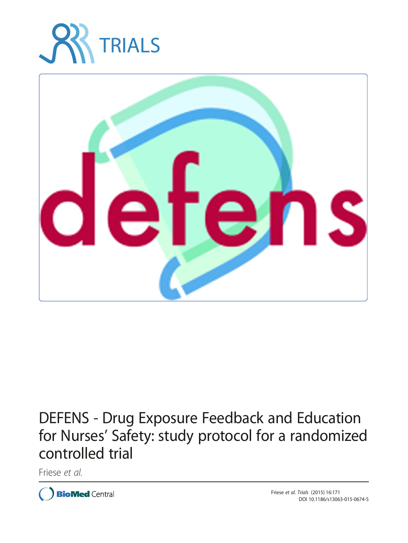



# DEFENS - Drug Exposure Feedback and Education for Nurses' Safety: study protocol for a randomized controlled trial

Friese et al.

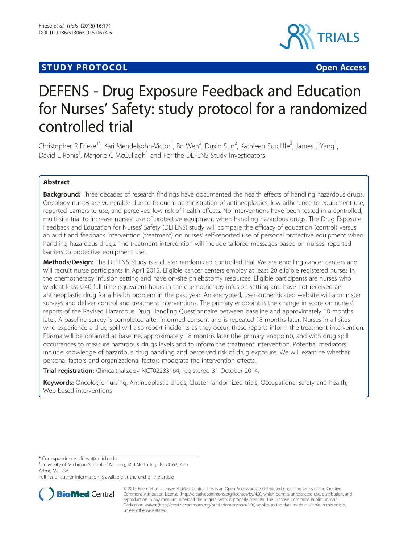# **STUDY PROTOCOL CONSUMING THE CONSUMING OPEN ACCESS**



# DEFENS - Drug Exposure Feedback and Education for Nurses' Safety: study protocol for a randomized controlled trial

Christopher R Friese<sup>1\*</sup>, Kari Mendelsohn-Victor<sup>1</sup>, Bo Wen<sup>2</sup>, Duxin Sun<sup>2</sup>, Kathleen Sutcliffe<sup>3</sup>, James J Yang<sup>1</sup> , David L Ronis<sup>1</sup>, Marjorie C McCullagh<sup>1</sup> and For the DEFENS Study Investigators

# Abstract

Background: Three decades of research findings have documented the health effects of handling hazardous drugs. Oncology nurses are vulnerable due to frequent administration of antineoplastics, low adherence to equipment use, reported barriers to use, and perceived low risk of health effects. No interventions have been tested in a controlled, multi-site trial to increase nurses' use of protective equipment when handling hazardous drugs. The Drug Exposure Feedback and Education for Nurses' Safety (DEFENS) study will compare the efficacy of education (control) versus an audit and feedback intervention (treatment) on nurses' self-reported use of personal protective equipment when handling hazardous drugs. The treatment intervention will include tailored messages based on nurses' reported barriers to protective equipment use.

Methods/Design: The DEFENS Study is a cluster randomized controlled trial. We are enrolling cancer centers and will recruit nurse participants in April 2015. Eligible cancer centers employ at least 20 eligible registered nurses in the chemotherapy infusion setting and have on-site phlebotomy resources. Eligible participants are nurses who work at least 0.40 full-time equivalent hours in the chemotherapy infusion setting and have not received an antineoplastic drug for a health problem in the past year. An encrypted, user-authenticated website will administer surveys and deliver control and treatment interventions. The primary endpoint is the change in score on nurses' reports of the Revised Hazardous Drug Handling Questionnaire between baseline and approximately 18 months later. A baseline survey is completed after informed consent and is repeated 18 months later. Nurses in all sites who experience a drug spill will also report incidents as they occur; these reports inform the treatment intervention. Plasma will be obtained at baseline, approximately 18 months later (the primary endpoint), and with drug spill occurrences to measure hazardous drugs levels and to inform the treatment intervention. Potential mediators include knowledge of hazardous drug handling and perceived risk of drug exposure. We will examine whether personal factors and organizational factors moderate the intervention effects.

Trial registration: Clinicaltrials.gov [NCT02283164,](http://clinicaltrials.gov/show/NCT02283164) registered 31 October 2014.

Keywords: Oncologic nursing, Antineoplastic drugs, Cluster randomized trials, Occupational safety and health, Web-based interventions

\* Correspondence: [cfriese@umich.edu](mailto:cfriese@umich.edu) <sup>1</sup>

Full list of author information is available at the end of the article



<sup>© 2015</sup> Friese et al.; licensee BioMed Central. This is an Open Access article distributed under the terms of the Creative Commons Attribution License [\(http://creativecommons.org/licenses/by/4.0\)](http://creativecommons.org/licenses/by/4.0), which permits unrestricted use, distribution, and reproduction in any medium, provided the original work is properly credited. The Creative Commons Public Domain Dedication waiver [\(http://creativecommons.org/publicdomain/zero/1.0/](http://creativecommons.org/publicdomain/zero/1.0/)) applies to the data made available in this article, unless otherwise stated.

<sup>&</sup>lt;sup>1</sup>University of Michigan School of Nursing, 400 North Ingalls, #4162, Ann Arbor, MI, USA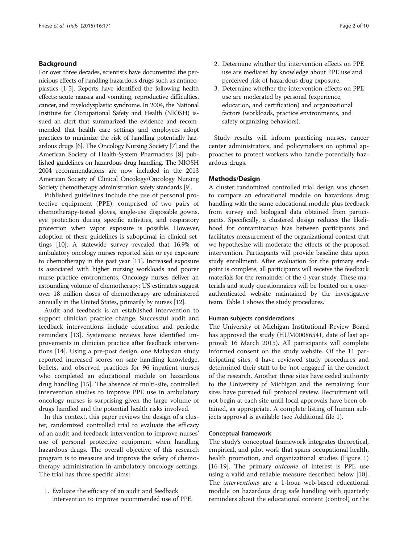# Background

For over three decades, scientists have documented the pernicious effects of handling hazardous drugs such as antineoplastics [\[1-5\]](#page-9-0). Reports have identified the following health effects: acute nausea and vomiting, reproductive difficulties, cancer, and myelodysplastic syndrome. In 2004, the National Institute for Occupational Safety and Health (NIOSH) issued an alert that summarized the evidence and recommended that health care settings and employees adopt practices to minimize the risk of handling potentially hazardous drugs [\[6](#page-9-0)]. The Oncology Nursing Society [[7](#page-9-0)] and the American Society of Health-System Pharmacists [[8](#page-9-0)] published guidelines on hazardous drug handling. The NIOSH 2004 recommendations are now included in the 2013 American Society of Clinical Oncology/Oncology Nursing Society chemotherapy administration safety standards [\[9\]](#page-9-0).

Published guidelines include the use of personal protective equipment (PPE), comprised of two pairs of chemotherapy-tested gloves, single-use disposable gowns, eye protection during specific activities, and respiratory protection when vapor exposure is possible. However, adoption of these guidelines is suboptimal in clinical settings [[10](#page-9-0)]. A statewide survey revealed that 16.9% of ambulatory oncology nurses reported skin or eye exposure to chemotherapy in the past year [\[11\]](#page-9-0). Increased exposure is associated with higher nursing workloads and poorer nurse practice environments. Oncology nurses deliver an astounding volume of chemotherapy; US estimates suggest over 18 million doses of chemotherapy are administered annually in the United States, primarily by nurses [[12](#page-9-0)].

Audit and feedback is an established intervention to support clinician practice change. Successful audit and feedback interventions include education and periodic reminders [\[13\]](#page-9-0). Systematic reviews have identified improvements in clinician practice after feedback interventions [\[14](#page-9-0)]. Using a pre-post design, one Malaysian study reported increased scores on safe handling knowledge, beliefs, and observed practices for 96 inpatient nurses who completed an educational module on hazardous drug handling [[15](#page-9-0)]. The absence of multi-site, controlled intervention studies to improve PPE use in ambulatory oncology nurses is surprising given the large volume of drugs handled and the potential health risks involved.

In this context, this paper reviews the design of a cluster, randomized controlled trial to evaluate the efficacy of an audit and feedback intervention to improve nurses' use of personal protective equipment when handling hazardous drugs. The overall objective of this research program is to measure and improve the safety of chemotherapy administration in ambulatory oncology settings. The trial has three specific aims:

1. Evaluate the efficacy of an audit and feedback intervention to improve recommended use of PPE.

- 2. Determine whether the intervention effects on PPE use are mediated by knowledge about PPE use and perceived risk of hazardous drug exposure.
- 3. Determine whether the intervention effects on PPE use are moderated by personal (experience, education, and certification) and organizational factors (workloads, practice environments, and safety organizing behaviors).

Study results will inform practicing nurses, cancer center administrators, and policymakers on optimal approaches to protect workers who handle potentially hazardous drugs.

### Methods/Design

A cluster randomized controlled trial design was chosen to compare an educational module on hazardous drug handling with the same educational module plus feedback from survey and biological data obtained from participants. Specifically, a clustered design reduces the likelihood for contamination bias between participants and facilitates measurement of the organizational context that we hypothesize will moderate the effects of the proposed intervention. Participants will provide baseline data upon study enrollment. After evaluation for the primary endpoint is complete, all participants will receive the feedback materials for the remainder of the 4-year study. These materials and study questionnaires will be located on a userauthenticated website maintained by the investigative team. Table [1](#page-3-0) shows the study procedures.

# Human subjects considerations

The University of Michigan Institutional Review Board has approved the study (HUM00086541, date of last approval: 16 March 2015). All participants will complete informed consent on the study website. Of the 11 participating sites, 4 have reviewed study procedures and determined their staff to be 'not engaged' in the conduct of the research. Another three sites have ceded authority to the University of Michigan and the remaining four sites have pursued full protocol review. Recruitment will not begin at each site until local approvals have been obtained, as appropriate. A complete listing of human subjects approval is available (see Additional file [1](#page-9-0)).

#### Conceptual framework

The study's conceptual framework integrates theoretical, empirical, and pilot work that spans occupational health, health promotion, and organizational studies (Figure [1](#page-3-0)) [[16-19](#page-9-0)]. The primary *outcome* of interest is PPE use using a valid and reliable measure described below [\[10](#page-9-0)]. The interventions are a 1-hour web-based educational module on hazardous drug safe handling with quarterly reminders about the educational content (control) or the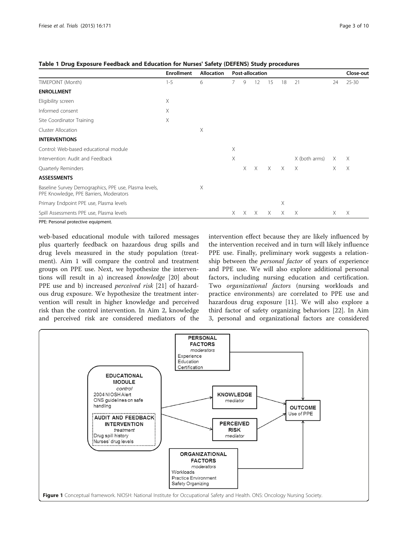|                                                                                                                                                                                                                                                                                                                                                                                                                        | <b>Enrollment</b> | <b>Allocation</b> | <b>Post-allocation</b> |          |          |          |          |               | Close-out |           |
|------------------------------------------------------------------------------------------------------------------------------------------------------------------------------------------------------------------------------------------------------------------------------------------------------------------------------------------------------------------------------------------------------------------------|-------------------|-------------------|------------------------|----------|----------|----------|----------|---------------|-----------|-----------|
| TIMEPOINT (Month)                                                                                                                                                                                                                                                                                                                                                                                                      | $1 - 5$           | 6                 | $\overline{7}$         | 9        | 12       | 15       | 18       | 21            | 24        | $25 - 30$ |
| <b>ENROLLMENT</b>                                                                                                                                                                                                                                                                                                                                                                                                      |                   |                   |                        |          |          |          |          |               |           |           |
| Eligibility screen                                                                                                                                                                                                                                                                                                                                                                                                     | Χ                 |                   |                        |          |          |          |          |               |           |           |
| Informed consent                                                                                                                                                                                                                                                                                                                                                                                                       | X                 |                   |                        |          |          |          |          |               |           |           |
| Site Coordinator Training                                                                                                                                                                                                                                                                                                                                                                                              | X                 |                   |                        |          |          |          |          |               |           |           |
| Cluster Allocation                                                                                                                                                                                                                                                                                                                                                                                                     |                   | X                 |                        |          |          |          |          |               |           |           |
| <b>INTERVENTIONS</b>                                                                                                                                                                                                                                                                                                                                                                                                   |                   |                   |                        |          |          |          |          |               |           |           |
| Control: Web-based educational module                                                                                                                                                                                                                                                                                                                                                                                  |                   |                   | X                      |          |          |          |          |               |           |           |
| Intervention: Audit and Feedback                                                                                                                                                                                                                                                                                                                                                                                       |                   |                   | X                      |          |          |          |          | X (both arms) | Χ         | $\times$  |
| Quarterly Reminders                                                                                                                                                                                                                                                                                                                                                                                                    |                   |                   |                        | X        | $\times$ | $\times$ | $\times$ | $\times$      | $\times$  | $\times$  |
| <b>ASSESSMENTS</b>                                                                                                                                                                                                                                                                                                                                                                                                     |                   |                   |                        |          |          |          |          |               |           |           |
| Baseline Survey Demographics, PPE use, Plasma levels,<br>PPE Knowledge, PPE Barriers, Moderators                                                                                                                                                                                                                                                                                                                       |                   | X                 |                        |          |          |          |          |               |           |           |
| Primary Endpoint PPE use, Plasma levels                                                                                                                                                                                                                                                                                                                                                                                |                   |                   |                        |          |          |          | X        |               |           |           |
| Spill Assessments PPE use, Plasma levels                                                                                                                                                                                                                                                                                                                                                                               |                   |                   | X.                     | $\times$ | X        | X        | X        | $\times$      | X         | X         |
| $\mathbf{R} \mathbf{R} \mathbf{R} \mathbf{R} \mathbf{R} \mathbf{R} \mathbf{R} \mathbf{R} \mathbf{R} \mathbf{R} \mathbf{R} \mathbf{R} \mathbf{R} \mathbf{R} \mathbf{R} \mathbf{R} \mathbf{R} \mathbf{R} \mathbf{R} \mathbf{R} \mathbf{R} \mathbf{R} \mathbf{R} \mathbf{R} \mathbf{R} \mathbf{R} \mathbf{R} \mathbf{R} \mathbf{R} \mathbf{R} \mathbf{R} \mathbf{R} \mathbf{R} \mathbf{R} \mathbf{R} \mathbf{R} \mathbf{$ |                   |                   |                        |          |          |          |          |               |           |           |

<span id="page-3-0"></span>Table 1 Drug Exposure Feedback and Education for Nurses' Safety (DEFENS) Study procedures

PPE: Personal protective equipment.

web-based educational module with tailored messages plus quarterly feedback on hazardous drug spills and drug levels measured in the study population (treatment). Aim 1 will compare the control and treatment groups on PPE use. Next, we hypothesize the interventions will result in a) increased knowledge [\[20](#page-9-0)] about PPE use and b) increased perceived risk [[21](#page-9-0)] of hazardous drug exposure. We hypothesize the treatment intervention will result in higher knowledge and perceived risk than the control intervention. In Aim 2, knowledge and perceived risk are considered mediators of the intervention effect because they are likely influenced by the intervention received and in turn will likely influence PPE use. Finally, preliminary work suggests a relationship between the personal factor of years of experience and PPE use. We will also explore additional personal factors, including nursing education and certification. Two organizational factors (nursing workloads and practice environments) are correlated to PPE use and hazardous drug exposure [[11\]](#page-9-0). We will also explore a third factor of safety organizing behaviors [[22\]](#page-9-0). In Aim 3, personal and organizational factors are considered

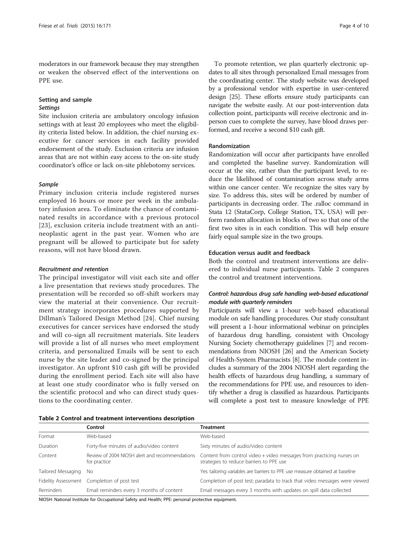moderators in our framework because they may strengthen or weaken the observed effect of the interventions on PPE use.

# Setting and sample Settings

Site inclusion criteria are ambulatory oncology infusion settings with at least 20 employees who meet the eligibility criteria listed below. In addition, the chief nursing executive for cancer services in each facility provided endorsement of the study. Exclusion criteria are infusion areas that are not within easy access to the on-site study coordinator's office or lack on-site phlebotomy services.

### Sample

Primary inclusion criteria include registered nurses employed 16 hours or more per week in the ambulatory infusion area. To eliminate the chance of contaminated results in accordance with a previous protocol [[23](#page-9-0)], exclusion criteria include treatment with an antineoplastic agent in the past year. Women who are pregnant will be allowed to participate but for safety reasons, will not have blood drawn.

#### Recruitment and retention

The principal investigator will visit each site and offer a live presentation that reviews study procedures. The presentation will be recorded so off-shift workers may view the material at their convenience. Our recruitment strategy incorporates procedures supported by Dillman's Tailored Design Method [\[24](#page-9-0)]. Chief nursing executives for cancer services have endorsed the study and will co-sign all recruitment materials. Site leaders will provide a list of all nurses who meet employment criteria, and personalized Emails will be sent to each nurse by the site leader and co-signed by the principal investigator. An upfront \$10 cash gift will be provided during the enrollment period. Each site will also have at least one study coordinator who is fully versed on the scientific protocol and who can direct study questions to the coordinating center.

To promote retention, we plan quarterly electronic updates to all sites through personalized Email messages from the coordinating center. The study website was developed by a professional vendor with expertise in user-centered design [\[25](#page-9-0)]. These efforts ensure study participants can navigate the website easily. At our post-intervention data collection point, participants will receive electronic and inperson cues to complete the survey, have blood draws performed, and receive a second \$10 cash gift.

#### Randomization

Randomization will occur after participants have enrolled and completed the baseline survey. Randomization will occur at the site, rather than the participant level, to reduce the likelihood of contamination across study arms within one cancer center. We recognize the sites vary by size. To address this, sites will be ordered by number of participants in decreasing order. The .ralloc command in Stata 12 (StataCorp, College Station, TX, USA) will perform random allocation in blocks of two so that one of the first two sites is in each condition. This will help ensure fairly equal sample size in the two groups.

# Education versus audit and feedback

Both the control and treatment interventions are delivered to individual nurse participants. Table 2 compares the control and treatment interventions.

# Control: hazardous drug safe handling web-based educational module with quarterly reminders

Participants will view a 1-hour web-based educational module on safe handling procedures. Our study consultant will present a 1-hour informational webinar on principles of hazardous drug handling, consistent with Oncology Nursing Society chemotherapy guidelines [[7](#page-9-0)] and recommendations from NIOSH [[26](#page-9-0)] and the American Society of Health-System Pharmacists [\[8\]](#page-9-0). The module content includes a summary of the 2004 NIOSH alert regarding the health effects of hazardous drug handling, a summary of the recommendations for PPE use, and resources to identify whether a drug is classified as hazardous. Participants will complete a post test to measure knowledge of PPE

Table 2 Control and treatment interventions description

|                    | Control                                                        | Treatment                                                                                                         |  |  |  |  |  |
|--------------------|----------------------------------------------------------------|-------------------------------------------------------------------------------------------------------------------|--|--|--|--|--|
| Format             | Web-based                                                      | Web-based                                                                                                         |  |  |  |  |  |
| Duration           | Forty-five minutes of audio/video content                      | Sixty minutes of audio/video content                                                                              |  |  |  |  |  |
| Content            | Review of 2004 NIOSH alert and recommendations<br>for practice | Content from control video + video messages from practicing nurses on<br>strategies to reduce barriers to PPE use |  |  |  |  |  |
| Tailored Messaging | - No                                                           | Yes: tailoring variables are barriers to PPE use measure obtained at baseline                                     |  |  |  |  |  |
|                    | Fidelity Assessment Completion of post test                    | Completion of post test; paradata to track that video messages were viewed                                        |  |  |  |  |  |
| Reminders          | Email reminders every 3 months of content                      | Email messages every 3 months with updates on spill data collected                                                |  |  |  |  |  |

NIOSH: National Institute for Occupational Safety and Health; PPE: personal protective equipment.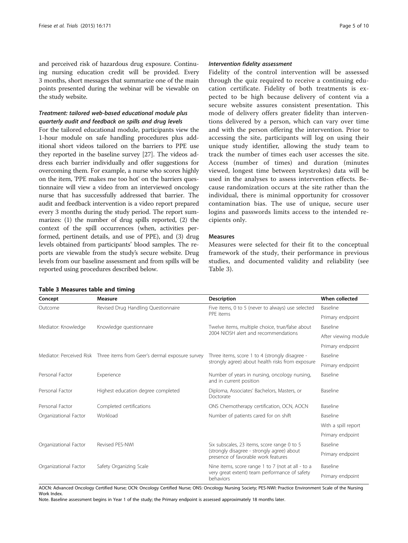and perceived risk of hazardous drug exposure. Continuing nursing education credit will be provided. Every 3 months, short messages that summarize one of the main points presented during the webinar will be viewable on the study website.

# Treatment: tailored web-based educational module plus quarterly audit and feedback on spills and drug levels

For the tailored educational module, participants view the 1-hour module on safe handling procedures plus additional short videos tailored on the barriers to PPE use they reported in the baseline survey [[27](#page-9-0)]. The videos address each barrier individually and offer suggestions for overcoming them. For example, a nurse who scores highly on the item, 'PPE makes me too hot' on the barriers questionnaire will view a video from an interviewed oncology nurse that has successfully addressed that barrier. The audit and feedback intervention is a video report prepared every 3 months during the study period. The report summarizes: (1) the number of drug spills reported, (2) the context of the spill occurrences (when, activities performed, pertinent details, and use of PPE), and (3) drug levels obtained from participants' blood samples. The reports are viewable from the study's secure website. Drug levels from our baseline assessment and from spills will be reported using procedures described below.

#### Intervention fidelity assessment

Fidelity of the control intervention will be assessed through the quiz required to receive a continuing education certificate. Fidelity of both treatments is expected to be high because delivery of content via a secure website assures consistent presentation. This mode of delivery offers greater fidelity than interventions delivered by a person, which can vary over time and with the person offering the intervention. Prior to accessing the site, participants will log on using their unique study identifier, allowing the study team to track the number of times each user accesses the site. Access (number of times) and duration (minutes viewed, longest time between keystrokes) data will be used in the analyses to assess intervention effects. Because randomization occurs at the site rather than the individual, there is minimal opportunity for crossover contamination bias. The use of unique, secure user logins and passwords limits access to the intended recipients only.

#### Measures

Measures were selected for their fit to the conceptual framework of the study, their performance in previous studies, and documented validity and reliability (see Table 3).

| Concept               | Measure                                                                 | <b>Description</b>                                                                | When collected       |  |
|-----------------------|-------------------------------------------------------------------------|-----------------------------------------------------------------------------------|----------------------|--|
| Outcome               | Revised Drug Handling Questionnaire                                     | Five items, 0 to 5 (never to always) use selected                                 | Baseline             |  |
|                       |                                                                         | PPF items                                                                         | Primary endpoint     |  |
| Mediator: Knowledge   | Knowledge questionnaire                                                 | Twelve items, multiple choice, true/false about                                   | Baseline             |  |
|                       |                                                                         | 2004 NIOSH alert and recommendations                                              | After viewing module |  |
|                       |                                                                         |                                                                                   | Primary endpoint     |  |
|                       | Mediator: Perceived Risk Three items from Geer's dermal exposure survey | Three items, score 1 to 4 (strongly disagree -                                    | Baseline             |  |
|                       |                                                                         | strongly agree) about health risks from exposure                                  | Primary endpoint     |  |
| Personal Factor       | Experience                                                              | Number of years in nursing, oncology nursing,<br>and in current position          | Baseline             |  |
| Personal Factor       | Highest education degree completed                                      | Diploma, Associates' Bachelors, Masters, or<br>Doctorate                          | Baseline             |  |
| Personal Factor       | Completed certifications                                                | ONS Chemotherapy certification, OCN, AOCN                                         | Baseline             |  |
| Organizational Factor | Workload                                                                | Number of patients cared for on shift                                             | Baseline             |  |
|                       |                                                                         |                                                                                   | With a spill report  |  |
|                       |                                                                         |                                                                                   | Primary endpoint     |  |
| Organizational Factor | Revised PFS-NWI                                                         | Six subscales, 23 items, score range 0 to 5                                       | Baseline             |  |
|                       |                                                                         | (strongly disagree - strongly agree) about<br>presence of favorable work features | Primary endpoint     |  |
| Organizational Factor | Safety Organizing Scale                                                 | Nine items, score range 1 to 7 (not at all - to a                                 | Baseline             |  |
|                       |                                                                         | very great extent) team performance of safety<br>behaviors                        | Primary endpoint     |  |

Table 3 Measures table and timing

AOCN: Advanced Oncology Certified Nurse; OCN: Oncology Certified Nurse; ONS: Oncology Nursing Society; PES-NWI: Practice Environment Scale of the Nursing Work Index.

Note. Baseline assessment begins in Year 1 of the study; the Primary endpoint is assessed approximately 18 months later.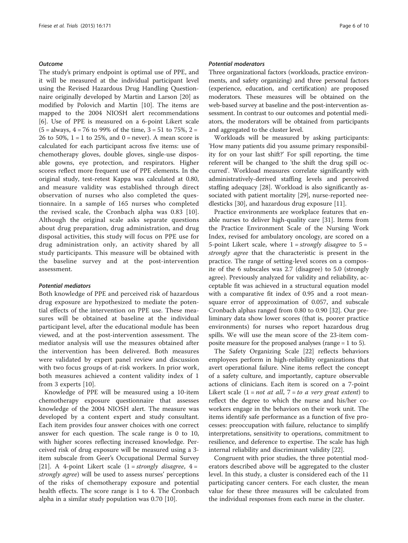#### Outcome

The study's primary endpoint is optimal use of PPE, and it will be measured at the individual participant level using the Revised Hazardous Drug Handling Questionnaire originally developed by Martin and Larson [[20](#page-9-0)] as modified by Polovich and Martin [\[10](#page-9-0)]. The items are mapped to the 2004 NIOSH alert recommendations [[6\]](#page-9-0). Use of PPE is measured on a 6-point Likert scale  $(5 = \text{always}, 4 = 76 \text{ to } 99\% \text{ of the time}, 3 = 51 \text{ to } 75\%, 2 =$ 26 to 50%,  $1 = 1$  to 25%, and  $0 =$  never). A mean score is calculated for each participant across five items: use of chemotherapy gloves, double gloves, single-use disposable gowns, eye protection, and respirators. Higher scores reflect more frequent use of PPE elements. In the original study, test-retest Kappa was calculated at 0.80, and measure validity was established through direct observation of nurses who also completed the questionnaire. In a sample of 165 nurses who completed the revised scale, the Cronbach alpha was 0.83 [[10](#page-9-0)]. Although the original scale asks separate questions about drug preparation, drug administration, and drug disposal activities, this study will focus on PPE use for drug administration only, an activity shared by all study participants. This measure will be obtained with the baseline survey and at the post-intervention assessment.

#### Potential mediators

Both knowledge of PPE and perceived risk of hazardous drug exposure are hypothesized to mediate the potential effects of the intervention on PPE use. These measures will be obtained at baseline at the individual participant level, after the educational module has been viewed, and at the post-intervention assessment. The mediator analysis will use the measures obtained after the intervention has been delivered. Both measures were validated by expert panel review and discussion with two focus groups of at-risk workers. In prior work, both measures achieved a content validity index of 1 from 3 experts [\[10](#page-9-0)].

Knowledge of PPE will be measured using a 10-item chemotherapy exposure questionnaire that assesses knowledge of the 2004 NIOSH alert. The measure was developed by a content expert and study consultant. Each item provides four answer choices with one correct answer for each question. The scale range is 0 to 10, with higher scores reflecting increased knowledge. Perceived risk of drug exposure will be measured using a 3 item subscale from Geer's Occupational Dermal Survey [[21\]](#page-9-0). A 4-point Likert scale  $(1 = strongly \ disagree, 4 =$ strongly agree) will be used to assess nurses' perceptions of the risks of chemotherapy exposure and potential health effects. The score range is 1 to 4. The Cronbach alpha in a similar study population was 0.70 [\[10](#page-9-0)].

#### Potential moderators

Three organizational factors (workloads, practice environments, and safety organizing) and three personal factors (experience, education, and certification) are proposed moderators. These measures will be obtained on the web-based survey at baseline and the post-intervention assessment. In contrast to our outcomes and potential mediators, the moderators will be obtained from participants and aggregated to the cluster level.

Workloads will be measured by asking participants: 'How many patients did you assume primary responsibility for on your last shift?' For spill reporting, the time referent will be changed to 'the shift the drug spill occurred'. Workload measures correlate significantly with administratively-derived staffing levels and perceived staffing adequacy [\[28](#page-9-0)]. Workload is also significantly associated with patient mortality [[29\]](#page-9-0), nurse-reported needlesticks [[30\]](#page-10-0), and hazardous drug exposure [[11\]](#page-9-0).

Practice environments are workplace features that enable nurses to deliver high-quality care [[31](#page-10-0)]. Items from the Practice Environment Scale of the Nursing Work Index, revised for ambulatory oncology, are scored on a 5-point Likert scale, where  $1 =$  strongly disagree to  $5 =$ strongly agree that the characteristic is present in the practice. The range of setting-level scores on a composite of the 6 subscales was 2.7 (disagree) to 5.0 (strongly agree). Previously analyzed for validity and reliability, acceptable fit was achieved in a structural equation model with a comparative fit index of 0.95 and a root meansquare error of approximation of 0.057, and subscale Cronbach alphas ranged from 0.80 to 0.90 [\[32\]](#page-10-0). Our preliminary data show lower scores (that is, poorer practice environments) for nurses who report hazardous drug spills. We will use the mean score of the 23-item composite measure for the proposed analyses (range = 1 to 5).

The Safety Organizing Scale [[22\]](#page-9-0) reflects behaviors employees perform in high-reliability organizations that avert operational failure. Nine items reflect the concept of a safety culture, and importantly, capture observable actions of clinicians. Each item is scored on a 7-point Likert scale  $(1 = not at all, 7 = to a very great extent)$  to reflect the degree to which the nurse and his/her coworkers engage in the behaviors on their work unit. The items identify safe performance as a function of five processes: preoccupation with failure, reluctance to simplify interpretations, sensitivity to operations, commitment to resilience, and deference to expertise. The scale has high internal reliability and discriminant validity [[22\]](#page-9-0).

Congruent with prior studies, the three potential moderators described above will be aggregated to the cluster level. In this study, a cluster is considered each of the 11 participating cancer centers. For each cluster, the mean value for these three measures will be calculated from the individual responses from each nurse in the cluster.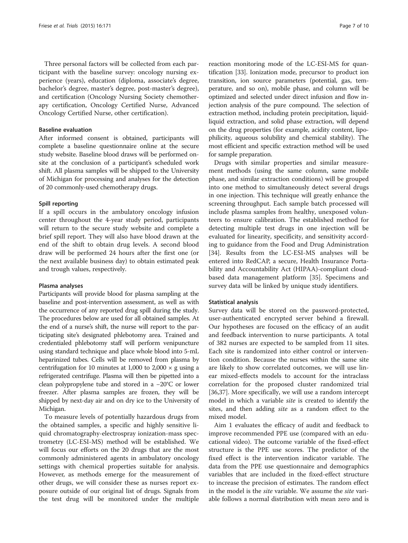Three personal factors will be collected from each participant with the baseline survey: oncology nursing experience (years), education (diploma, associate's degree, bachelor's degree, master's degree, post-master's degree), and certification (Oncology Nursing Society chemotherapy certification, Oncology Certified Nurse, Advanced Oncology Certified Nurse, other certification).

#### Baseline evaluation

After informed consent is obtained, participants will complete a baseline questionnaire online at the secure study website. Baseline blood draws will be performed onsite at the conclusion of a participant's scheduled work shift. All plasma samples will be shipped to the University of Michigan for processing and analyses for the detection of 20 commonly-used chemotherapy drugs.

#### Spill reporting

If a spill occurs in the ambulatory oncology infusion center throughout the 4-year study period, participants will return to the secure study website and complete a brief spill report. They will also have blood drawn at the end of the shift to obtain drug levels. A second blood draw will be performed 24 hours after the first one (or the next available business day) to obtain estimated peak and trough values, respectively.

#### Plasma analyses

Participants will provide blood for plasma sampling at the baseline and post-intervention assessment, as well as with the occurrence of any reported drug spill during the study. The procedures below are used for all obtained samples. At the end of a nurse's shift, the nurse will report to the participating site's designated phlebotomy area. Trained and credentialed phlebotomy staff will perform venipuncture using standard technique and place whole blood into 5-mL heparinized tubes. Cells will be removed from plasma by centrifugation for 10 minutes at 1,000 to 2,000  $\times$  g using a refrigerated centrifuge. Plasma will then be pipetted into a clean polypropylene tube and stored in a −20°C or lower freezer. After plasma samples are frozen, they will be shipped by next-day air and on dry ice to the University of Michigan.

To measure levels of potentially hazardous drugs from the obtained samples, a specific and highly sensitive liquid chromatography-electrospray ionization-mass spectrometry (LC-ESI-MS) method will be established. We will focus our efforts on the 20 drugs that are the most commonly administered agents in ambulatory oncology settings with chemical properties suitable for analysis. However, as methods emerge for the measurement of other drugs, we will consider these as nurses report exposure outside of our original list of drugs. Signals from the test drug will be monitored under the multiple

reaction monitoring mode of the LC-ESI-MS for quantification [[33](#page-10-0)]. Ionization mode, precursor to product ion transition, ion source parameters (potential, gas, temperature, and so on), mobile phase, and column will be optimized and selected under direct infusion and flow injection analysis of the pure compound. The selection of extraction method, including protein precipitation, liquidliquid extraction, and solid phase extraction, will depend on the drug properties (for example, acidity content, lipophilicity, aqueous solubility and chemical stability). The most efficient and specific extraction method will be used for sample preparation.

Drugs with similar properties and similar measurement methods (using the same column, same mobile phase, and similar extraction conditions) will be grouped into one method to simultaneously detect several drugs in one injection. This technique will greatly enhance the screening throughput. Each sample batch processed will include plasma samples from healthy, unexposed volunteers to ensure calibration. The established method for detecting multiple test drugs in one injection will be evaluated for linearity, specificity, and sensitivity according to guidance from the Food and Drug Administration [[34\]](#page-10-0). Results from the LC-ESI-MS analyses will be entered into RedCAP, a secure, Health Insurance Portability and Accountability Act (HIPAA)-compliant cloudbased data management platform [\[35](#page-10-0)]. Specimens and survey data will be linked by unique study identifiers.

#### Statistical analysis

Survey data will be stored on the password-protected, user-authenticated encrypted server behind a firewall. Our hypotheses are focused on the efficacy of an audit and feedback intervention to nurse participants. A total of 382 nurses are expected to be sampled from 11 sites. Each site is randomized into either control or intervention condition. Because the nurses within the same site are likely to show correlated outcomes, we will use linear mixed-effects models to account for the intraclass correlation for the proposed cluster randomized trial [[36,37\]](#page-10-0). More specifically, we will use a random intercept model in which a variable *site* is created to identify the sites, and then adding site as a random effect to the mixed model.

Aim 1 evaluates the efficacy of audit and feedback to improve recommended PPE use (compared with an educational video). The outcome variable of the fixed-effect structure is the PPE use scores. The predictor of the fixed effect is the intervention indicator variable. The data from the PPE use questionnaire and demographics variables that are included in the fixed-effect structure to increase the precision of estimates. The random effect in the model is the site variable. We assume the site variable follows a normal distribution with mean zero and is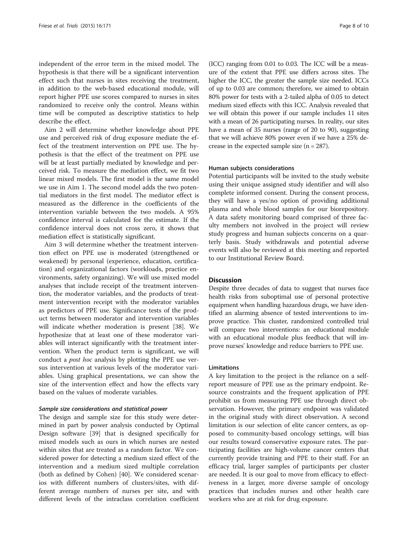independent of the error term in the mixed model. The hypothesis is that there will be a significant intervention effect such that nurses in sites receiving the treatment, in addition to the web-based educational module, will report higher PPE use scores compared to nurses in sites randomized to receive only the control. Means within time will be computed as descriptive statistics to help describe the effect.

Aim 2 will determine whether knowledge about PPE use and perceived risk of drug exposure mediate the effect of the treatment intervention on PPE use. The hypothesis is that the effect of the treatment on PPE use will be at least partially mediated by knowledge and perceived risk. To measure the mediation effect, we fit two linear mixed models. The first model is the same model we use in Aim 1. The second model adds the two potential mediators in the first model. The mediator effect is measured as the difference in the coefficients of the intervention variable between the two models. A 95% confidence interval is calculated for the estimate. If the confidence interval does not cross zero, it shows that mediation effect is statistically significant.

Aim 3 will determine whether the treatment intervention effect on PPE use is moderated (strengthened or weakened) by personal (experience, education, certification) and organizational factors (workloads, practice environments, safety organizing). We will use mixed model analyses that include receipt of the treatment intervention, the moderator variables, and the products of treatment intervention receipt with the moderator variables as predictors of PPE use. Significance tests of the product terms between moderator and intervention variables will indicate whether moderation is present [[38](#page-10-0)]. We hypothesize that at least one of these moderator variables will interact significantly with the treatment intervention. When the product term is significant, we will conduct a post hoc analysis by plotting the PPE use versus intervention at various levels of the moderator variables. Using graphical presentations, we can show the size of the intervention effect and how the effects vary based on the values of moderate variables.

#### Sample size considerations and statistical power

The design and sample size for this study were determined in part by power analysis conducted by Optimal Design software [\[39\]](#page-10-0) that is designed specifically for mixed models such as ours in which nurses are nested within sites that are treated as a random factor. We considered power for detecting a medium sized effect of the intervention and a medium sized multiple correlation (both as defined by Cohen) [[40\]](#page-10-0). We considered scenarios with different numbers of clusters/sites, with different average numbers of nurses per site, and with different levels of the intraclass correlation coefficient

(ICC) ranging from 0.01 to 0.03. The ICC will be a measure of the extent that PPE use differs across sites. The higher the ICC, the greater the sample size needed. ICCs of up to 0.03 are common; therefore, we aimed to obtain 80% power for tests with a 2-tailed alpha of 0.05 to detect medium sized effects with this ICC. Analysis revealed that we will obtain this power if our sample includes 11 sites with a mean of 26 participating nurses. In reality, our sites have a mean of 35 nurses (range of 20 to 90), suggesting that we will achieve 80% power even if we have a 25% decrease in the expected sample size  $(n = 287)$ .

# Human subjects considerations

Potential participants will be invited to the study website using their unique assigned study identifier and will also complete informed consent. During the consent process, they will have a yes/no option of providing additional plasma and whole blood samples for our biorepository. A data safety monitoring board comprised of three faculty members not involved in the project will review study progress and human subjects concerns on a quarterly basis. Study withdrawals and potential adverse events will also be reviewed at this meeting and reported to our Institutional Review Board.

#### **Discussion**

Despite three decades of data to suggest that nurses face health risks from suboptimal use of personal protective equipment when handling hazardous drugs, we have identified an alarming absence of tested interventions to improve practice. This cluster, randomized controlled trial will compare two interventions: an educational module with an educational module plus feedback that will improve nurses' knowledge and reduce barriers to PPE use.

#### Limitations

A key limitation to the project is the reliance on a selfreport measure of PPE use as the primary endpoint. Resource constraints and the frequent application of PPE prohibit us from measuring PPE use through direct observation. However, the primary endpoint was validated in the original study with direct observation. A second limitation is our selection of elite cancer centers, as opposed to community-based oncology settings, will bias our results toward conservative exposure rates. The participating facilities are high-volume cancer centers that currently provide training and PPE to their staff. For an efficacy trial, larger samples of participants per cluster are needed. It is our goal to move from efficacy to effectiveness in a larger, more diverse sample of oncology practices that includes nurses and other health care workers who are at risk for drug exposure.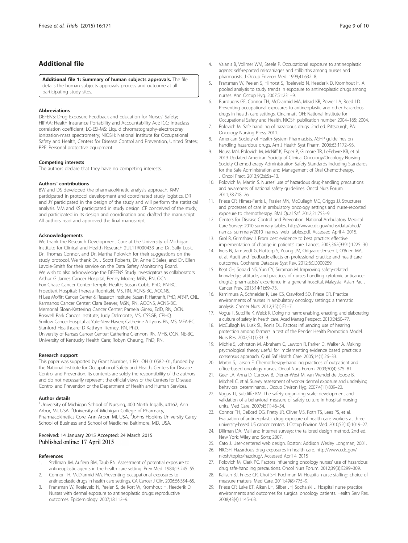# <span id="page-9-0"></span>Additional file

[Additional file 1:](http://www.trialsjournal.com/content/supplementary/s13063-015-0674-5-s1.docx) Summary of human subjects approvals. The file details the human subjects approvals process and outcome at all participating study sites.

#### Abbreviations

DEFENS: Drug Exposure Feedback and Education for Nurses' Safety; HIPAA: Health Insurance Portability and Accountability Act; ICC: Intraclass correlation coefficient; LC-ESI-MS: Liquid chromatography-electrospray ionization-mass spectrometry; NIOSH: National Institute for Occupational Safety and Health, Centers for Disease Control and Prevention, United States; PPE: Personal protective equipment.

#### Competing interests

The authors declare that they have no competing interests.

#### Authors' contributions

BW and DS developed the pharmacokinetic analysis approach. KMV participated in protocol development and coordinated study logistics. DR and JY participated in the design of the study and will perform the statistical analysis. MM and KS participated in study design. CF conceived of the study, and participated in its design and coordination and drafted the manuscript. All authors read and approved the final manuscript.

#### Acknowledgements

We thank the Research Development Core at the University of Michigan Institute for Clinical and Health Research 2UL1TR000433 and Dr. Sally Lusk, Dr. Thomas Connor, and Dr. Martha Polovich for their suggestions on the study protocol. We thank Dr. J Scott Roberts, Dr. Anne E Sales, and Dr. Ellen Lavoie-Smith for their service on the Data Safety Monitoring Board. We wish to also acknowledge the DEFENS Study Investigators as collaborators: Arthur G James Cancer Hospital; Penny Moore, MSN, RN, OCN. Fox Chase Cancer Center-Temple Health; Susan Cobb, PhD, RN-BC. Froedtert Hospital; Theresa Rudnitzki, MS, RN, ACNS-BC, AOCNS. H Lee Moffitt Cancer Center & Research Institute; Susan R Hartranft, PhD, ARNP, CNL. Karmanos Cancer Center; Clara Beaver, MSN, RN, AOCNS, ACNS-BC. Memorial Sloan-Kettering Cancer Center; Pamela Ginex, EdD, RN, OCN. Roswell Park Cancer Institute; Judy Delmonte, MS, CSSGB, CPHQ. Smilow Cancer Hospital at Yale-New Haven; Catherine A Lyons, RN, MS, MEA-BC. Stanford Healthcare; D Kathryn Tierney, RN, PhD. University of Kansas Cancer Center; Catherine Glennon, RN, MHS, OCN, NE-BC. University of Kentucky Health Care; Robyn Cheung, PhD, RN.

#### Research support

This paper was supported by Grant Number, 1 R01 OH 010582–01, funded by the National Institute for Occupational Safety and Health, Centers for Disease Control and Prevention. Its contents are solely the responsibility of the authors and do not necessarily represent the official views of the Centers for Disease Control and Prevention or the Department of Health and Human Services.

#### Author details

<sup>1</sup>University of Michigan School of Nursing, 400 North Ingalls, #4162, Ann Arbor, MI, USA. <sup>2</sup>University of Michigan College of Pharmacy, Pharmacokinetics Core, Ann Arbor, MI, USA. <sup>3</sup> Johns Hopkins University Carey School of Business and School of Medicine, Baltimore, MD, USA.

#### Received: 14 January 2015 Accepted: 24 March 2015 Published online: 17 April 2015

#### References

- 1. Stellman JM, Aufiero BM, Taub RN. Assessment of potential exposure to antineoplastic agents in the health care setting. Prev Med. 1984;13:245–55.
- 2. Connor TH, McDiarmid MA. Preventing occupational exposures to antineoplastic drugs in health care settings. CA Cancer J Clin. 2006;56:354–65.
- 3. Fransman W, Roeleveld N, Peelen S, de Kort W, Kromhout H, Heederik D. Nurses with dermal exposure to antineoplastic drugs: reproductive outcomes. Epidemiology. 2007;18:112–9.
- 4. Valanis B, Vollmer WM, Steele P. Occupational exposure to antineoplastic agents: self-reported miscarriages and stillbirths among nurses and pharmacists. J Occup Environ Med. 1999;41:632–8.
- 5. Fransman W, Peelen S, Hilhorst S, Roeleveld N, Heederik D, Kromhout H. A pooled analysis to study trends in exposure to antineoplastic drugs among nurses. Ann Occup Hyg. 2007;51:231–9.
- 6. Burroughs GE, Connor TH, McDiarmid MA, Mead KR, Power LA, Reed LD. Preventing occupational exposures to antineoplastic and other hazardous drugs in health care settings. Cincinnati, OH: National Institute for Occupational Safety and Health, NIOSH publication number 2004–165; 2004.
- Polovich M. Safe handling of hazardous drugs. 2nd ed. Pittsburgh, PA: Oncology Nursing Press; 2011.
- 8. American Society of Health-System Pharmacists. ASHP guidelines on handling hazardous drugs. Am J Health Syst Pharm. 2006;63:1172–93.
- 9. Neuss MN, Polovich M, McNiff K, Esper P, Gilmore TR, LeFebvre KB, et al. 2013 Updated American Society of Clinical Oncology/Oncology Nursing Society Chemotherapy Administration Safety Standards Including Standards for the Safe Administration and Management of Oral Chemotherapy. J Oncol Pract. 2013;9(2s):5s–13.
- 10. Polovich M, Martin S. Nurses' use of hazardous drug-handling precautions and awareness of national safety guidelines. Oncol Nurs Forum. 2011;38:718–26.
- 11. Friese CR, Himes-Ferris L, Frasier MN, McCullagh MC, Griggs JJ. Structures and processes of care in ambulatory oncology settings and nurse-reported exposure to chemotherapy. BMJ Qual Saf. 2012;21:753–9.
- 12. Centers for Disease Control and Prevention. National Ambulatory Medical Care Survey: 2010 summary tables. [http://www.cdc.gov/nchs/data/ahcd/](http://www.cdc.gov/nchs/data/ahcd/namcs_summary/2010_namcs_web_tables.pdf) [namcs\\_summary/2010\\_namcs\\_web\\_tables.pdf](http://www.cdc.gov/nchs/data/ahcd/namcs_summary/2010_namcs_web_tables.pdf). Accessed April 4, 2015.
- 13. Grol R, Grimshaw J. From best evidence to best practice: effective implementation of change in patients' care. Lancet. 2003;362(9391):1225–30.
- 14. Ivers N, Jamtvedt G, Flottorp S, Young JM, Odgaard-Jensen J, O'Brien MA, et al. Audit and feedback: effects on professional practice and healthcare outcomes. Cochrane Database Syst Rev. 2012;6:CD000259.
- 15. Keat CH, Sooaid NS, Yun CY, Sriraman M. Improving safety-related knowledge, attitude, and practices of nurses handling cytotoxic anticancer drug(s): pharmacists' experience in a general hospital, Malaysia. Asian Pac J Cancer Prev. 2013;14(1):69–73.
- 16. Kamimura A, Schneider K, Lee CS, Crawford SD, Friese CR. Practice environments of nurses in ambulatory oncology settings: a thematic analysis. Cancer Nurs. 2012;35(1):E1–7.
- 17. Vogus T, Sutcliffe K, Weick K. Doing no harm: enabling, enacting, and elaborating a culture of safety in health care. Acad Manag Perspect. 2010;24:60–77.
- 18. McCullagh M, Lusk SL, Ronis DL. Factors influencing use of hearing protection among farmers: a test of the Pender Health Promotion Model. Nurs Res. 2002;51(1):33–9.
- 19. Michie S, Johnston M, Abraham C, Lawton R, Parker D, Walker A. Making psychological theory useful for implementing evidence based practice: a consensus approach. Qual Saf Health Care. 2005;14(1):26–33.
- 20. Martin S, Larson E. Chemotherapy-handling practices of outpatient and office-based oncology nurses. Oncol Nurs Forum. 2003;30(4):575–81.
- 21. Geer LA, Anna D, Curbow B, Diener-West M, van Wendel de Joode B, Mitchell C, et al. Survey assessment of worker dermal exposure and underlying behavioral determinants. J Occup Environ Hyg. 2007;4(11):809–20.
- 22. Vogus TJ, Sutcliffe KM. The safety organizing scale: development and validation of a behavioral measure of safety culture in hospital nursing units. Med Care. 2007;45(1):46–54.
- 23. Connor TH, DeBord DG, Pretty JR, Oliver MS, Roth TS, Lees PS, et al. Evaluation of antineoplastic drug exposure of health care workers at three university-based US cancer centers. J Occup Environ Med. 2010;52(10):1019–27.
- 24. Dillman DA. Mail and internet surveys: the tailored design method. 2nd ed. New York: Wiley and Sons; 2007.
- 25. Cato J. User-centered web design. Boston: Addison Wesley Longman; 2001.
- 26. NIOSH. Hazardous drug exposures in health care. [http://www.cdc.gov/](http://www.cdc.gov/niosh/topics/hazdrug/) [niosh/topics/hazdrug/.](http://www.cdc.gov/niosh/topics/hazdrug/) Accessed April 4, 2015
- 27. Polovich M, Clark PC. Factors influencing oncology nurses' use of hazardous drug safe-handling precautions. Oncol Nurs Forum. 2012;39(3):E299–309.
- 28. Kalisch BJ, Friese CR, Choi SH, Rochman M. Hospital nurse staffing: choice of measure matters. Med Care. 2011;49(8):775–9.
- 29. Friese CR, Lake ET, Aiken LH, Silber JH, Sochalski J. Hospital nurse practice environments and outcomes for surgical oncology patients. Health Serv Res. 2008;43(4):1145–63.